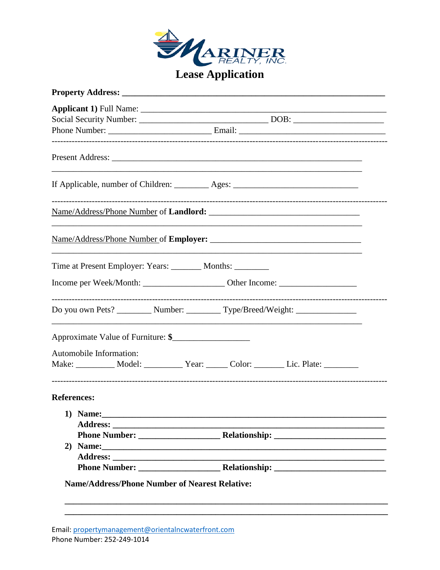

| If Applicable, number of Children: _________ Ages: _____________________________    |  |  |  |  |  |  |  |
|-------------------------------------------------------------------------------------|--|--|--|--|--|--|--|
|                                                                                     |  |  |  |  |  |  |  |
|                                                                                     |  |  |  |  |  |  |  |
| Time at Present Employer: Years: ________ Months: ________                          |  |  |  |  |  |  |  |
|                                                                                     |  |  |  |  |  |  |  |
| Do you own Pets? __________ Number: __________ Type/Breed/Weight: ______________    |  |  |  |  |  |  |  |
| Approximate Value of Furniture: \$                                                  |  |  |  |  |  |  |  |
| Automobile Information:                                                             |  |  |  |  |  |  |  |
| Make: __________ Model: __________ Year: ______ Color: _______ Lic. Plate: ________ |  |  |  |  |  |  |  |
| <b>References:</b>                                                                  |  |  |  |  |  |  |  |
|                                                                                     |  |  |  |  |  |  |  |
|                                                                                     |  |  |  |  |  |  |  |
|                                                                                     |  |  |  |  |  |  |  |
|                                                                                     |  |  |  |  |  |  |  |
|                                                                                     |  |  |  |  |  |  |  |
|                                                                                     |  |  |  |  |  |  |  |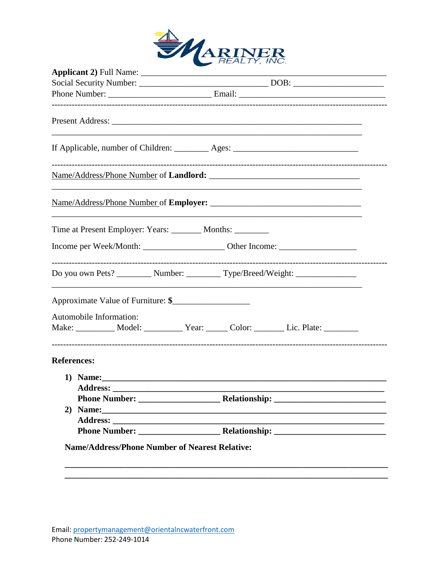

| If Applicable, number of Children: __________ Ages: ____________________________ |  |  |  |                                                                                  |  |  |  |
|----------------------------------------------------------------------------------|--|--|--|----------------------------------------------------------------------------------|--|--|--|
|                                                                                  |  |  |  |                                                                                  |  |  |  |
|                                                                                  |  |  |  |                                                                                  |  |  |  |
| Time at Present Employer: Years: _________ Months: _________                     |  |  |  |                                                                                  |  |  |  |
|                                                                                  |  |  |  |                                                                                  |  |  |  |
|                                                                                  |  |  |  | Do you own Pets? _________ Number: _________ Type/Breed/Weight: ________________ |  |  |  |
| Approximate Value of Furniture: \$                                               |  |  |  |                                                                                  |  |  |  |
| Automobile Information:                                                          |  |  |  |                                                                                  |  |  |  |
|                                                                                  |  |  |  | Make: __________ Model: _________ Year: _____ Color: _______ Lic. Plate: _______ |  |  |  |
| <b>References:</b>                                                               |  |  |  |                                                                                  |  |  |  |
|                                                                                  |  |  |  |                                                                                  |  |  |  |
| <b>Address:</b>                                                                  |  |  |  |                                                                                  |  |  |  |
|                                                                                  |  |  |  |                                                                                  |  |  |  |
| 2)                                                                               |  |  |  |                                                                                  |  |  |  |
|                                                                                  |  |  |  |                                                                                  |  |  |  |
|                                                                                  |  |  |  |                                                                                  |  |  |  |